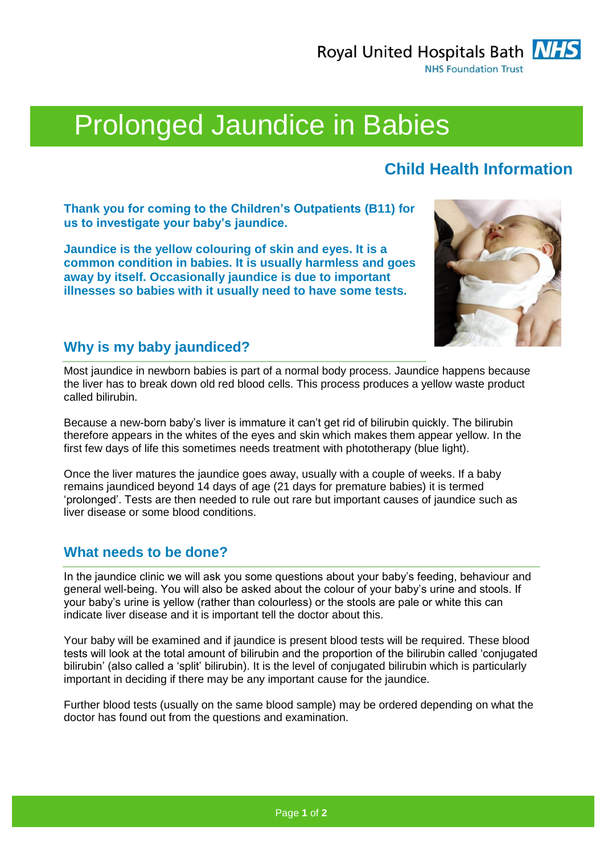Royal United Hospitals Bath NHS **NHS Foundation Trust** 



# Prolonged Jaundice in Babies

## **Child Health Information**

**Thank you for coming to the Children's Outpatients (B11) for us to investigate your baby's jaundice.**

**Jaundice is the yellow colouring of skin and eyes. It is a common condition in babies. It is usually harmless and goes away by itself. Occasionally jaundice is due to important illnesses so babies with it usually need to have some tests.**



### **Why is my baby jaundiced?**

Most jaundice in newborn babies is part of a normal body process. Jaundice happens because the liver has to break down old red blood cells. This process produces a yellow waste product called bilirubin.

Because a new-born baby's liver is immature it can't get rid of bilirubin quickly. The bilirubin therefore appears in the whites of the eyes and skin which makes them appear yellow. In the first few days of life this sometimes needs treatment with phototherapy (blue light).

Once the liver matures the jaundice goes away, usually with a couple of weeks. If a baby remains jaundiced beyond 14 days of age (21 days for premature babies) it is termed 'prolonged'. Tests are then needed to rule out rare but important causes of jaundice such as liver disease or some blood conditions.

## **What needs to be done?**

In the jaundice clinic we will ask you some questions about your baby's feeding, behaviour and general well-being. You will also be asked about the colour of your baby's urine and stools. If your baby's urine is yellow (rather than colourless) or the stools are pale or white this can indicate liver disease and it is important tell the doctor about this.

Your baby will be examined and if jaundice is present blood tests will be required. These blood tests will look at the total amount of bilirubin and the proportion of the bilirubin called 'conjugated bilirubin' (also called a 'split' bilirubin). It is the level of conjugated bilirubin which is particularly important in deciding if there may be any important cause for the jaundice.

Further blood tests (usually on the same blood sample) may be ordered depending on what the doctor has found out from the questions and examination.